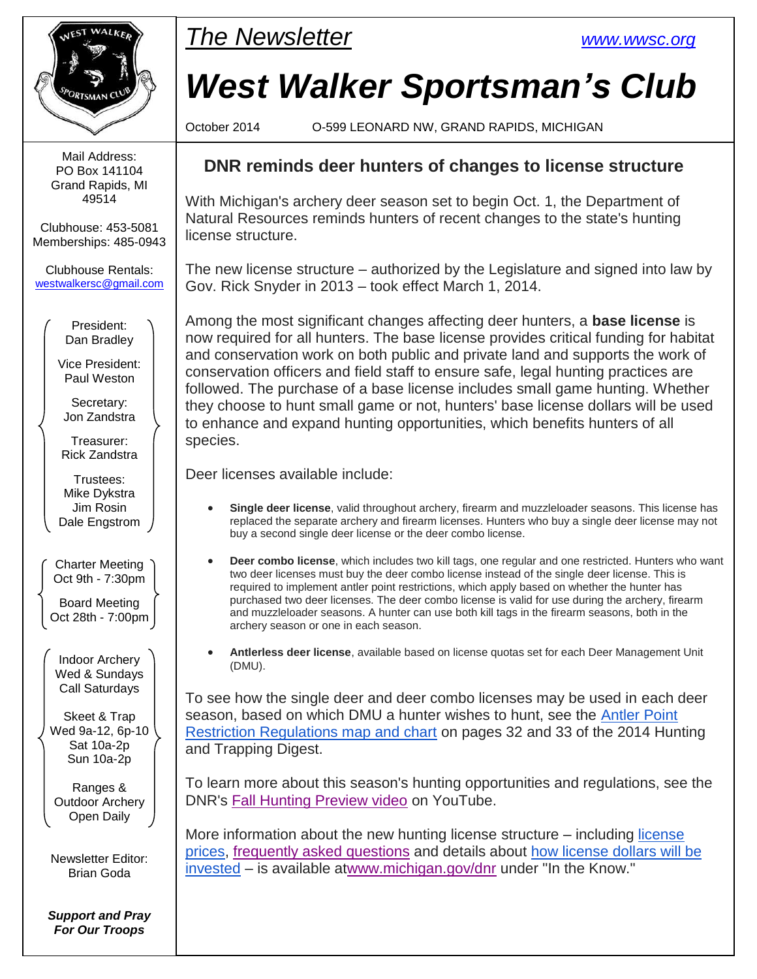

Mail Address: PO Box 141104 Grand Rapids, MI 49514

Clubhouse: 453-5081 Memberships: 485-0943

Clubhouse Rentals: [westwalkersc@gmail.com](mailto:westwalkersc@gmail.com)

> President: Dan Bradley

Vice President: Paul Weston

Secretary: Jon Zandstra

Treasurer: Rick Zandstra

Trustees: Mike Dykstra Jim Rosin Dale Engstrom

Charter Meeting Oct 9th - 7:30pm

Board Meeting Oct 28th - 7:00pm

Indoor Archery Wed & Sundays Call Saturdays

Skeet & Trap Wed 9a-12, 6p-10 Sat 10a-2p Sun 10a-2p

Ranges & Outdoor Archery Open Daily

Newsletter Editor: Brian Goda

*Support and Pray For Our Troops*



# *West Walker Sportsman's Club*

October 2014 O-599 LEONARD NW, GRAND RAPIDS, MICHIGAN

#### **DNR reminds deer hunters of changes to license structure**

With Michigan's archery deer season set to begin Oct. 1, the Department of Natural Resources reminds hunters of recent changes to the state's hunting license structure.

The new license structure – authorized by the Legislature and signed into law by Gov. Rick Snyder in 2013 – took effect March 1, 2014.

Among the most significant changes affecting deer hunters, a **base license** is now required for all hunters. The base license provides critical funding for habitat and conservation work on both public and private land and supports the work of conservation officers and field staff to ensure safe, legal hunting practices are followed. The purchase of a base license includes small game hunting. Whether they choose to hunt small game or not, hunters' base license dollars will be used to enhance and expand hunting opportunities, which benefits hunters of all species.

Deer licenses available include:

- **Single deer license**, valid throughout archery, firearm and muzzleloader seasons. This license has replaced the separate archery and firearm licenses. Hunters who buy a single deer license may not buy a second single deer license or the deer combo license.
- **Deer combo license**, which includes two kill tags, one regular and one restricted. Hunters who want two deer licenses must buy the deer combo license instead of the single deer license. This is required to implement antler point restrictions, which apply based on whether the hunter has purchased two deer licenses. The deer combo license is valid for use during the archery, firearm and muzzleloader seasons. A hunter can use both kill tags in the firearm seasons, both in the archery season or one in each season.
- **Antlerless deer license**, available based on license quotas set for each Deer Management Unit (DMU).

To see how the single deer and deer combo licenses may be used in each deer season, based on which DMU a hunter wishes to hunt, see the [Antler Point](http://links.govdelivery.com/track?type=click&enid=ZWFzPTEmbWFpbGluZ2lkPTIwMTQwOTMwLjM2NTA2MzkxJm1lc3NhZ2VpZD1NREItUFJELUJVTC0yMDE0MDkzMC4zNjUwNjM5MSZkYXRhYmFzZWlkPTEwMDEmc2VyaWFsPTE3MjE3OTg2JmVtYWlsaWQ9YnJpYW4uZ29kYUBnbWFpbC5jb20mdXNlcmlkPWJyaWFuLmdvZGFAZ21haWwuY29tJmZsPSZleHRyYT1NdWx0aXZhcmlhdGVJZD0mJiY=&&&106&&&http://www.michigan.gov/documents/dnr/deer_apr_chart_469528_7.pdf?source=govdelivery&utm_medium=email&utm_source=govdelivery)  [Restriction Regulations map and chart](http://links.govdelivery.com/track?type=click&enid=ZWFzPTEmbWFpbGluZ2lkPTIwMTQwOTMwLjM2NTA2MzkxJm1lc3NhZ2VpZD1NREItUFJELUJVTC0yMDE0MDkzMC4zNjUwNjM5MSZkYXRhYmFzZWlkPTEwMDEmc2VyaWFsPTE3MjE3OTg2JmVtYWlsaWQ9YnJpYW4uZ29kYUBnbWFpbC5jb20mdXNlcmlkPWJyaWFuLmdvZGFAZ21haWwuY29tJmZsPSZleHRyYT1NdWx0aXZhcmlhdGVJZD0mJiY=&&&106&&&http://www.michigan.gov/documents/dnr/deer_apr_chart_469528_7.pdf?source=govdelivery&utm_medium=email&utm_source=govdelivery) on pages 32 and 33 of the 2014 Hunting and Trapping Digest.

To learn more about this season's hunting opportunities and regulations, see the DNR's [Fall Hunting Preview video](http://links.govdelivery.com/track?type=click&enid=ZWFzPTEmbWFpbGluZ2lkPTIwMTQwOTMwLjM2NTA2MzkxJm1lc3NhZ2VpZD1NREItUFJELUJVTC0yMDE0MDkzMC4zNjUwNjM5MSZkYXRhYmFzZWlkPTEwMDEmc2VyaWFsPTE3MjE3OTg2JmVtYWlsaWQ9YnJpYW4uZ29kYUBnbWFpbC5jb20mdXNlcmlkPWJyaWFuLmdvZGFAZ21haWwuY29tJmZsPSZleHRyYT1NdWx0aXZhcmlhdGVJZD0mJiY=&&&107&&&https://www.youtube.com/watch?source=govdelivery&utm_medium=email&utm_source=govdelivery&v=Ur6rXTMQS64) on YouTube.

More information about the new hunting license structure – including [license](http://links.govdelivery.com/track?type=click&enid=ZWFzPTEmbWFpbGluZ2lkPTIwMTQwOTMwLjM2NTA2MzkxJm1lc3NhZ2VpZD1NREItUFJELUJVTC0yMDE0MDkzMC4zNjUwNjM5MSZkYXRhYmFzZWlkPTEwMDEmc2VyaWFsPTE3MjE3OTg2JmVtYWlsaWQ9YnJpYW4uZ29kYUBnbWFpbC5jb20mdXNlcmlkPWJyaWFuLmdvZGFAZ21haWwuY29tJmZsPSZleHRyYT1NdWx0aXZhcmlhdGVJZD0mJiY=&&&108&&&http://www.michigan.gov/dnr/0,4570,7-153-10363_14518_65243-305249--,00.html?source=govdelivery&utm_medium=email&utm_source=govdelivery)  [prices,](http://links.govdelivery.com/track?type=click&enid=ZWFzPTEmbWFpbGluZ2lkPTIwMTQwOTMwLjM2NTA2MzkxJm1lc3NhZ2VpZD1NREItUFJELUJVTC0yMDE0MDkzMC4zNjUwNjM5MSZkYXRhYmFzZWlkPTEwMDEmc2VyaWFsPTE3MjE3OTg2JmVtYWlsaWQ9YnJpYW4uZ29kYUBnbWFpbC5jb20mdXNlcmlkPWJyaWFuLmdvZGFAZ21haWwuY29tJmZsPSZleHRyYT1NdWx0aXZhcmlhdGVJZD0mJiY=&&&108&&&http://www.michigan.gov/dnr/0,4570,7-153-10363_14518_65243-305249--,00.html?source=govdelivery&utm_medium=email&utm_source=govdelivery) [frequently asked questions](http://links.govdelivery.com/track?type=click&enid=ZWFzPTEmbWFpbGluZ2lkPTIwMTQwOTMwLjM2NTA2MzkxJm1lc3NhZ2VpZD1NREItUFJELUJVTC0yMDE0MDkzMC4zNjUwNjM5MSZkYXRhYmFzZWlkPTEwMDEmc2VyaWFsPTE3MjE3OTg2JmVtYWlsaWQ9YnJpYW4uZ29kYUBnbWFpbC5jb20mdXNlcmlkPWJyaWFuLmdvZGFAZ21haWwuY29tJmZsPSZleHRyYT1NdWx0aXZhcmlhdGVJZD0mJiY=&&&109&&&http://www.michigan.gov/dnr/0,4570,7-153-10363_14518_65243-305562--,00.html?source=govdelivery&utm_medium=email&utm_source=govdelivery) and details about [how license dollars will be](http://links.govdelivery.com/track?type=click&enid=ZWFzPTEmbWFpbGluZ2lkPTIwMTQwOTMwLjM2NTA2MzkxJm1lc3NhZ2VpZD1NREItUFJELUJVTC0yMDE0MDkzMC4zNjUwNjM5MSZkYXRhYmFzZWlkPTEwMDEmc2VyaWFsPTE3MjE3OTg2JmVtYWlsaWQ9YnJpYW4uZ29kYUBnbWFpbC5jb20mdXNlcmlkPWJyaWFuLmdvZGFAZ21haWwuY29tJmZsPSZleHRyYT1NdWx0aXZhcmlhdGVJZD0mJiY=&&&110&&&http://www.michigan.gov/dnr/0,4570,7-153-10363_14518_65243-305221--,00.html?source=govdelivery&utm_medium=email&utm_source=govdelivery)  [invested](http://links.govdelivery.com/track?type=click&enid=ZWFzPTEmbWFpbGluZ2lkPTIwMTQwOTMwLjM2NTA2MzkxJm1lc3NhZ2VpZD1NREItUFJELUJVTC0yMDE0MDkzMC4zNjUwNjM5MSZkYXRhYmFzZWlkPTEwMDEmc2VyaWFsPTE3MjE3OTg2JmVtYWlsaWQ9YnJpYW4uZ29kYUBnbWFpbC5jb20mdXNlcmlkPWJyaWFuLmdvZGFAZ21haWwuY29tJmZsPSZleHRyYT1NdWx0aXZhcmlhdGVJZD0mJiY=&&&110&&&http://www.michigan.gov/dnr/0,4570,7-153-10363_14518_65243-305221--,00.html?source=govdelivery&utm_medium=email&utm_source=govdelivery) – is available a[twww.michigan.gov/dnr](http://links.govdelivery.com/track?type=click&enid=ZWFzPTEmbWFpbGluZ2lkPTIwMTQwOTMwLjM2NTA2MzkxJm1lc3NhZ2VpZD1NREItUFJELUJVTC0yMDE0MDkzMC4zNjUwNjM5MSZkYXRhYmFzZWlkPTEwMDEmc2VyaWFsPTE3MjE3OTg2JmVtYWlsaWQ9YnJpYW4uZ29kYUBnbWFpbC5jb20mdXNlcmlkPWJyaWFuLmdvZGFAZ21haWwuY29tJmZsPSZleHRyYT1NdWx0aXZhcmlhdGVJZD0mJiY=&&&111&&&http://www.michigan.gov/dnr?source=govdelivery&utm_medium=email&utm_source=govdelivery) under "In the Know."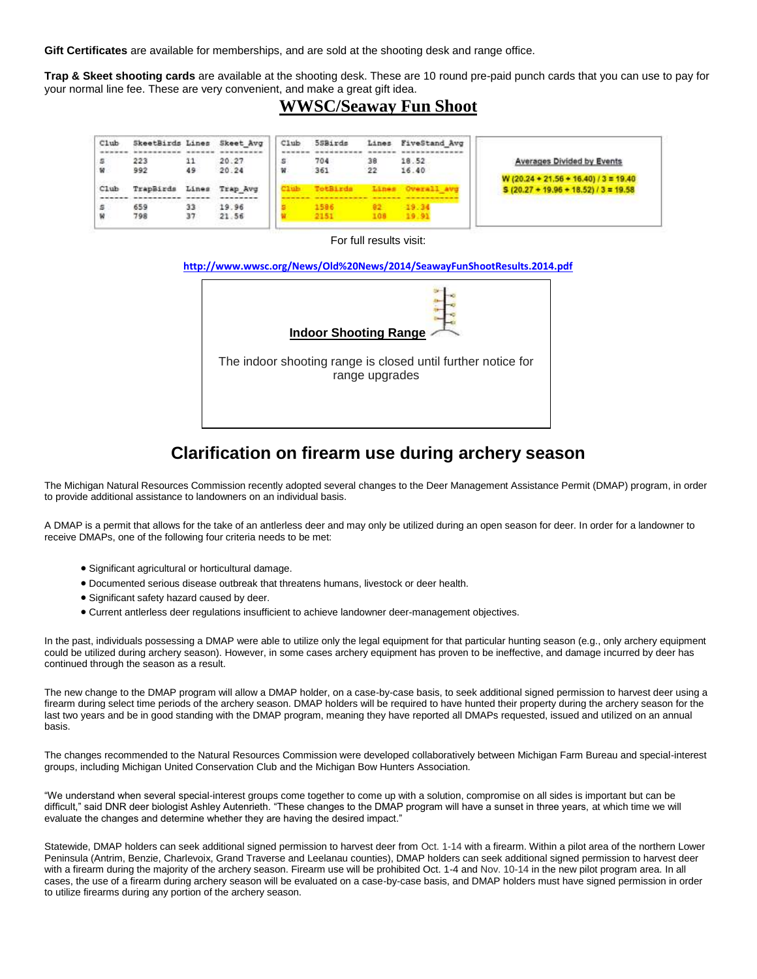**Gift Certificates** are available for memberships, and are sold at the shooting desk and range office.

**Trap & Skeet shooting cards** are available at the shooting desk. These are 10 round pre-paid punch cards that you can use to pay for your normal line fee. These are very convenient, and make a great gift idea.

#### **WWSC/Seaway Fun Shoot**

| C1ub<br>s<br>w | SkeetBirds Lines Skeet Avg<br>223<br>992 | 11<br>49 | 20.27<br>20.24 | Club<br>s<br>w | 5SBirds<br>704<br>361 | 38<br>22      | Lines FiveStand Avg<br>18.52<br>16.40 | Averages Divided by Events<br>W (20.24 + 21.56 + 16.40) / 3 = 19.40 |
|----------------|------------------------------------------|----------|----------------|----------------|-----------------------|---------------|---------------------------------------|---------------------------------------------------------------------|
| C1ub           | TrapBirds                                | Lines    | Trap Avg       |                | TotBirds              |               |                                       | $5(20.27 + 19.96 + 18.52)/3 = 19.58$                                |
| s              | 659<br>798                               | 33<br>37 | 19.96<br>21.56 |                | 1586<br>2151          | $82 -$<br>108 | $-19.34$<br>39.91                     |                                                                     |

For full results visit:

#### **<http://www.wwsc.org/News/Old%20News/2014/SeawayFunShootResults.2014.pdf>**



#### **Clarification on firearm use during archery season**

The Michigan Natural Resources Commission recently adopted several changes to the Deer Management Assistance Permit (DMAP) program, in order to provide additional assistance to landowners on an individual basis.

A DMAP is a permit that allows for the take of an antlerless deer and may only be utilized during an open season for deer. In order for a landowner to receive DMAPs, one of the following four criteria needs to be met:

- Significant agricultural or horticultural damage.
- Documented serious disease outbreak that threatens humans, livestock or deer health.
- Significant safety hazard caused by deer.
- Current antlerless deer regulations insufficient to achieve landowner deer-management objectives.

In the past, individuals possessing a DMAP were able to utilize only the legal equipment for that particular hunting season (e.g., only archery equipment could be utilized during archery season). However, in some cases archery equipment has proven to be ineffective, and damage incurred by deer has continued through the season as a result.

The new change to the DMAP program will allow a DMAP holder, on a case-by-case basis, to seek additional signed permission to harvest deer using a firearm during select time periods of the archery season. DMAP holders will be required to have hunted their property during the archery season for the last two years and be in good standing with the DMAP program, meaning they have reported all DMAPs requested, issued and utilized on an annual basis.

The changes recommended to the Natural Resources Commission were developed collaboratively between Michigan Farm Bureau and special-interest groups, including Michigan United Conservation Club and the Michigan Bow Hunters Association.

"We understand when several special-interest groups come together to come up with a solution, compromise on all sides is important but can be difficult," said DNR deer biologist Ashley Autenrieth. "These changes to the DMAP program will have a sunset in three years, at which time we will evaluate the changes and determine whether they are having the desired impact."

Statewide, DMAP holders can seek additional signed permission to harvest deer from Oct. 1-14 with a firearm. Within a pilot area of the northern Lower Peninsula (Antrim, Benzie, Charlevoix, Grand Traverse and Leelanau counties), DMAP holders can seek additional signed permission to harvest deer with a firearm during the majority of the archery season. Firearm use will be prohibited Oct. 1-4 and Nov. 10-14 in the new pilot program area. In all cases, the use of a firearm during archery season will be evaluated on a case-by-case basis, and DMAP holders must have signed permission in order to utilize firearms during any portion of the archery season.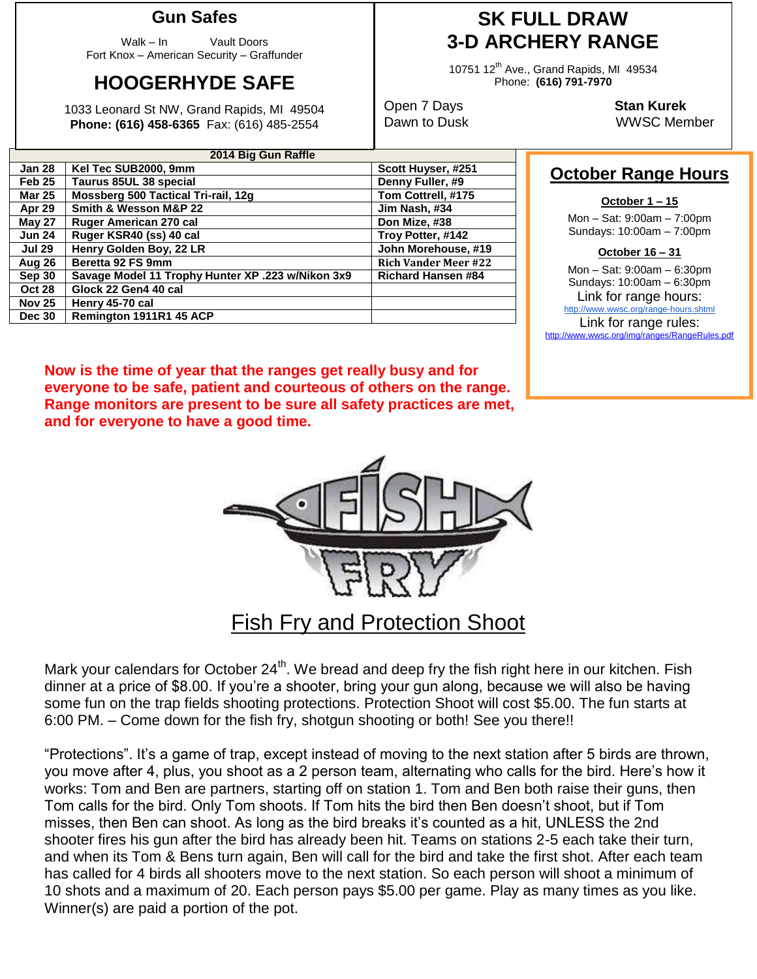#### **Gun Safes**

Walk – In Vault Doors Fort Knox – American Security – Graffunder

## **HOOGERHYDE SAFE**

1033 Leonard St NW, Grand Rapids, MI 49504 **Phone: (616) 458-6365** Fax: (616) 485-2554

### **SK FULL DRAW 3-D ARCHERY RANGE**

10751 12<sup>th</sup> Ave., Grand Rapids, MI 49534 Phone: **(616) 791-7970**

Open 7 Days **Stan Kurek**

Dawn to Dusk WWSC Member

**October Range Hours**

**October 1 – 15** Mon – Sat: 9:00am – 7:00pm Sundays: 10:00am – 7:00pm **October 16 – 31** Mon – Sat: 9:00am – 6:30pm Sundays: 10:00am – 6:30pm Link for range hours: <http://www.wwsc.org/range-hours.shtml> Link for range rules: http://www.wwsc.org/img/ranges/RangeRules.pdf

| <b>ZUTA DIG GUIL RATTE</b> |                                                   |                             |  |  |  |  |  |
|----------------------------|---------------------------------------------------|-----------------------------|--|--|--|--|--|
| Jan 28                     | Kel Tec SUB2000, 9mm                              | Scott Huyser, #251          |  |  |  |  |  |
| Feb 25                     | Taurus 85UL 38 special                            | Denny Fuller, #9            |  |  |  |  |  |
| Mar 25                     | Mossberg 500 Tactical Tri-rail, 12g               | Tom Cottrell, #175          |  |  |  |  |  |
| Apr 29                     | Smith & Wesson M&P 22                             | Jim Nash, #34               |  |  |  |  |  |
| May 27                     | Ruger American 270 cal                            | Don Mize, #38               |  |  |  |  |  |
| <b>Jun 24</b>              | Ruger KSR40 (ss) 40 cal                           | Troy Potter, #142           |  |  |  |  |  |
| Jul 29                     | Henry Golden Boy, 22 LR                           | John Morehouse, #19         |  |  |  |  |  |
| Aug 26                     | Beretta 92 FS 9mm                                 | <b>Rich Vander Meer #22</b> |  |  |  |  |  |
| Sep 30                     | Savage Model 11 Trophy Hunter XP .223 w/Nikon 3x9 | <b>Richard Hansen #84</b>   |  |  |  |  |  |
| <b>Oct 28</b>              | Glock 22 Gen4 40 cal                              |                             |  |  |  |  |  |
| <b>Nov 25</b>              | Henry 45-70 cal                                   |                             |  |  |  |  |  |
| <b>Dec 30</b>              | Remington 1911R1 45 ACP                           |                             |  |  |  |  |  |
|                            |                                                   |                             |  |  |  |  |  |

**2014 Big Gun Raffle**

**Now is the time of year that the ranges get really busy and for everyone to be safe, patient and courteous of others on the range. Range monitors are present to be sure all safety practices are met, and for everyone to have a good time.**



### Fish Fry and Protection Shoot

Mark your calendars for October 24<sup>th</sup>. We bread and deep fry the fish right here in our kitchen. Fish dinner at a price of \$8.00. If you're a shooter, bring your gun along, because we will also be having some fun on the trap fields shooting protections. Protection Shoot will cost \$5.00. The fun starts at 6:00 PM. – Come down for the fish fry, shotgun shooting or both! See you there!!

"Protections". It's a game of trap, except instead of moving to the next station after 5 birds are thrown, you move after 4, plus, you shoot as a 2 person team, alternating who calls for the bird. Here's how it works: Tom and Ben are partners, starting off on station 1. Tom and Ben both raise their guns, then Tom calls for the bird. Only Tom shoots. If Tom hits the bird then Ben doesn't shoot, but if Tom misses, then Ben can shoot. As long as the bird breaks it's counted as a hit, UNLESS the 2nd shooter fires his gun after the bird has already been hit. Teams on stations 2-5 each take their turn, and when its Tom & Bens turn again, Ben will call for the bird and take the first shot. After each team has called for 4 birds all shooters move to the next station. So each person will shoot a minimum of 10 shots and a maximum of 20. Each person pays \$5.00 per game. Play as many times as you like. Winner(s) are paid a portion of the pot.